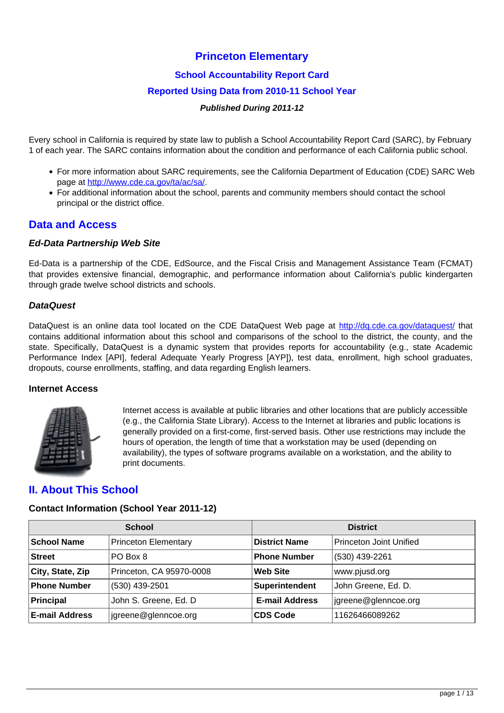# **Princeton Elementary**

### **School Accountability Report Card**

### **Reported Using Data from 2010-11 School Year**

#### **Published During 2011-12**

Every school in California is required by state law to publish a School Accountability Report Card (SARC), by February 1 of each year. The SARC contains information about the condition and performance of each California public school.

- For more information about SARC requirements, see the California Department of Education (CDE) SARC Web page at [http://www.cde.ca.gov/ta/ac/sa/.](http://www.cde.ca.gov/ta/ac/sa/)
- For additional information about the school, parents and community members should contact the school principal or the district office.

# **Data and Access**

#### **Ed-Data Partnership Web Site**

Ed-Data is a partnership of the CDE, EdSource, and the Fiscal Crisis and Management Assistance Team (FCMAT) that provides extensive financial, demographic, and performance information about California's public kindergarten through grade twelve school districts and schools.

#### **DataQuest**

DataQuest is an online data tool located on the CDE DataQuest Web page at <http://dq.cde.ca.gov/dataquest/> that contains additional information about this school and comparisons of the school to the district, the county, and the state. Specifically, DataQuest is a dynamic system that provides reports for accountability (e.g., state Academic Performance Index [API], federal Adequate Yearly Progress [AYP]), test data, enrollment, high school graduates, dropouts, course enrollments, staffing, and data regarding English learners.

#### **Internet Access**



Internet access is available at public libraries and other locations that are publicly accessible (e.g., the California State Library). Access to the Internet at libraries and public locations is generally provided on a first-come, first-served basis. Other use restrictions may include the hours of operation, the length of time that a workstation may be used (depending on availability), the types of software programs available on a workstation, and the ability to print documents.

# **II. About This School**

#### **Contact Information (School Year 2011-12)**

|                       | <b>School</b>               | <b>District</b>       |                         |  |
|-----------------------|-----------------------------|-----------------------|-------------------------|--|
| <b>School Name</b>    | <b>Princeton Elementary</b> | <b>District Name</b>  | Princeton Joint Unified |  |
| <b>Street</b>         | PO Box 8                    | <b>Phone Number</b>   | (530) 439-2261          |  |
| City, State, Zip      | Princeton, CA 95970-0008    | Web Site              | www.pjusd.org           |  |
| <b>Phone Number</b>   | (530) 439-2501              | Superintendent        | John Greene, Ed. D.     |  |
| Principal             | John S. Greene, Ed. D       | <b>E-mail Address</b> | igreene@glenncoe.org    |  |
| <b>E-mail Address</b> | jgreene@glenncoe.org        | <b>CDS Code</b>       | 11626466089262          |  |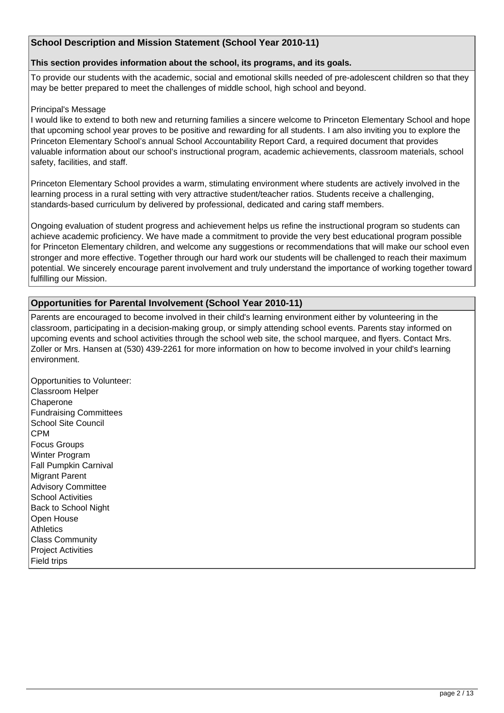### **School Description and Mission Statement (School Year 2010-11)**

#### **This section provides information about the school, its programs, and its goals.**

To provide our students with the academic, social and emotional skills needed of pre-adolescent children so that they may be better prepared to meet the challenges of middle school, high school and beyond.

#### Principal's Message

I would like to extend to both new and returning families a sincere welcome to Princeton Elementary School and hope that upcoming school year proves to be positive and rewarding for all students. I am also inviting you to explore the Princeton Elementary School's annual School Accountability Report Card, a required document that provides valuable information about our school's instructional program, academic achievements, classroom materials, school safety, facilities, and staff.

Princeton Elementary School provides a warm, stimulating environment where students are actively involved in the learning process in a rural setting with very attractive student/teacher ratios. Students receive a challenging, standards-based curriculum by delivered by professional, dedicated and caring staff members.

Ongoing evaluation of student progress and achievement helps us refine the instructional program so students can achieve academic proficiency. We have made a commitment to provide the very best educational program possible for Princeton Elementary children, and welcome any suggestions or recommendations that will make our school even stronger and more effective. Together through our hard work our students will be challenged to reach their maximum potential. We sincerely encourage parent involvement and truly understand the importance of working together toward fulfilling our Mission.

#### **Opportunities for Parental Involvement (School Year 2010-11)**

Parents are encouraged to become involved in their child's learning environment either by volunteering in the classroom, participating in a decision-making group, or simply attending school events. Parents stay informed on upcoming events and school activities through the school web site, the school marquee, and flyers. Contact Mrs. Zoller or Mrs. Hansen at (530) 439-2261 for more information on how to become involved in your child's learning environment.

Opportunities to Volunteer: Classroom Helper Chaperone Fundraising Committees School Site Council **CPM** Focus Groups Winter Program Fall Pumpkin Carnival Migrant Parent Advisory Committee School Activities Back to School Night Open House **Athletics** Class Community Project Activities Field trips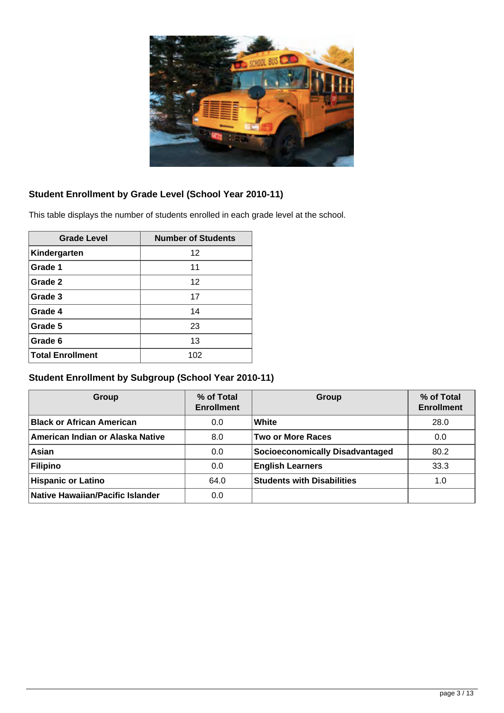

# **Student Enrollment by Grade Level (School Year 2010-11)**

This table displays the number of students enrolled in each grade level at the school.

| <b>Grade Level</b>      | <b>Number of Students</b> |
|-------------------------|---------------------------|
| Kindergarten            | 12                        |
| Grade 1                 | 11                        |
| Grade 2                 | 12                        |
| Grade 3                 | 17                        |
| Grade 4                 | 14                        |
| Grade 5                 | 23                        |
| Grade 6                 | 13                        |
| <b>Total Enrollment</b> | 102                       |

# **Student Enrollment by Subgroup (School Year 2010-11)**

| Group                            | % of Total<br><b>Enrollment</b> | Group                             | % of Total<br><b>Enrollment</b> |
|----------------------------------|---------------------------------|-----------------------------------|---------------------------------|
| <b>Black or African American</b> | 0.0                             | White                             | 28.0                            |
| American Indian or Alaska Native | 8.0                             | <b>Two or More Races</b>          | 0.0                             |
| Asian                            | 0.0                             | Socioeconomically Disadvantaged   | 80.2                            |
| Filipino                         | 0.0                             | <b>English Learners</b>           | 33.3                            |
| <b>Hispanic or Latino</b>        | 64.0                            | <b>Students with Disabilities</b> | 1.0                             |
| Native Hawaiian/Pacific Islander | 0.0                             |                                   |                                 |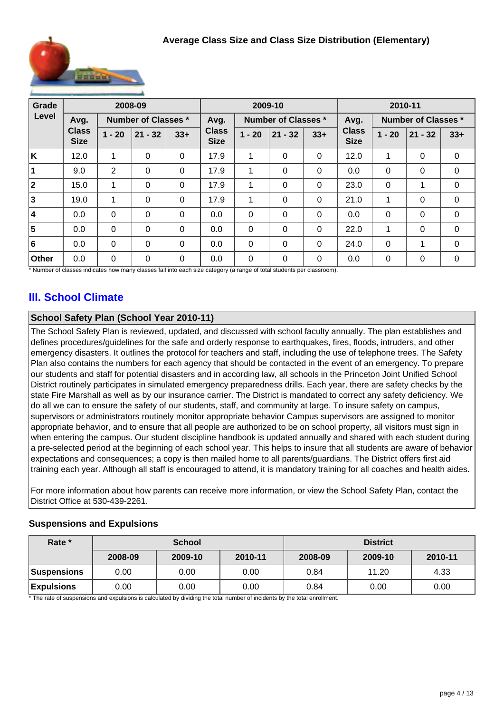

| Grade |                             | 2008-09        |                            |          | 2009-10                     |                            |           | 2010-11  |                             |             |                            |              |
|-------|-----------------------------|----------------|----------------------------|----------|-----------------------------|----------------------------|-----------|----------|-----------------------------|-------------|----------------------------|--------------|
| Level | Avg.                        |                | <b>Number of Classes *</b> |          | Avg.                        | <b>Number of Classes *</b> |           |          | Avg.                        |             | <b>Number of Classes *</b> |              |
|       | <b>Class</b><br><b>Size</b> | $1 - 20$       | $21 - 32$                  | $33+$    | <b>Class</b><br><b>Size</b> | $1 - 20$                   | $21 - 32$ | $33+$    | <b>Class</b><br><b>Size</b> | $1 - 20$    | $21 - 32$                  | $33+$        |
| ΙK    | 12.0                        | 1              | $\Omega$                   | $\Omega$ | 17.9                        | 1                          | 0         | $\Omega$ | 12.0                        | 1           | $\Omega$                   | $\Omega$     |
|       | 9.0                         | $\overline{2}$ | $\Omega$                   | $\Omega$ | 17.9                        | 1                          | 0         | $\Omega$ | 0.0                         | $\Omega$    | 0                          | 0            |
| 2     | 15.0                        | 1              | 0                          | $\Omega$ | 17.9                        | 1                          | 0         | $\Omega$ | 23.0                        | $\mathbf 0$ | 1                          | 0            |
| 3     | 19.0                        | 1              | $\Omega$                   | $\Omega$ | 17.9                        | 1                          | $\Omega$  | $\Omega$ | 21.0                        | 1           | 0                          | $\mathbf 0$  |
| 14    | 0.0                         | $\Omega$       | $\Omega$                   | $\Omega$ | 0.0                         | $\Omega$                   | $\Omega$  | $\Omega$ | 0.0                         | $\Omega$    | $\Omega$                   | $\Omega$     |
| 5     | 0.0                         | 0              | $\Omega$                   | $\Omega$ | 0.0                         | $\Omega$                   | $\Omega$  | $\Omega$ | 22.0                        | 1           | 0                          | $\mathbf{0}$ |
| 6     | 0.0                         | $\Omega$       | 0                          | $\Omega$ | 0.0                         | $\mathbf 0$                | 0         | $\Omega$ | 24.0                        | $\Omega$    | 1                          | $\mathbf{0}$ |
| Other | 0.0                         | 0              | 0                          | $\Omega$ | 0.0                         | $\Omega$                   | $\Omega$  | $\Omega$ | 0.0                         | $\mathbf 0$ | 0                          | $\mathbf{0}$ |

\* Number of classes indicates how many classes fall into each size category (a range of total students per classroom).

# **III. School Climate**

# **School Safety Plan (School Year 2010-11)**

The School Safety Plan is reviewed, updated, and discussed with school faculty annually. The plan establishes and defines procedures/guidelines for the safe and orderly response to earthquakes, fires, floods, intruders, and other emergency disasters. It outlines the protocol for teachers and staff, including the use of telephone trees. The Safety Plan also contains the numbers for each agency that should be contacted in the event of an emergency. To prepare our students and staff for potential disasters and in according law, all schools in the Princeton Joint Unified School District routinely participates in simulated emergency preparedness drills. Each year, there are safety checks by the state Fire Marshall as well as by our insurance carrier. The District is mandated to correct any safety deficiency. We do all we can to ensure the safety of our students, staff, and community at large. To insure safety on campus, supervisors or administrators routinely monitor appropriate behavior Campus supervisors are assigned to monitor appropriate behavior, and to ensure that all people are authorized to be on school property, all visitors must sign in when entering the campus. Our student discipline handbook is updated annually and shared with each student during a pre-selected period at the beginning of each school year. This helps to insure that all students are aware of behavior expectations and consequences; a copy is then mailed home to all parents/guardians. The District offers first aid training each year. Although all staff is encouraged to attend, it is mandatory training for all coaches and health aides.

For more information about how parents can receive more information, or view the School Safety Plan, contact the District Office at 530-439-2261.

**Expulsions** | 0.00 | 0.00 | 0.00 | 0.84 | 0.00 | 0.00

# **Rate \* School District 2008-09 2009-10 2010-11 2008-09 2009-10 2010-11 Suspensions** 0.00 0.00 0.00 0.84 11.20 4.33

# **Suspensions and Expulsions**

\* The rate of suspensions and expulsions is calculated by dividing the total number of incidents by the total enrollment.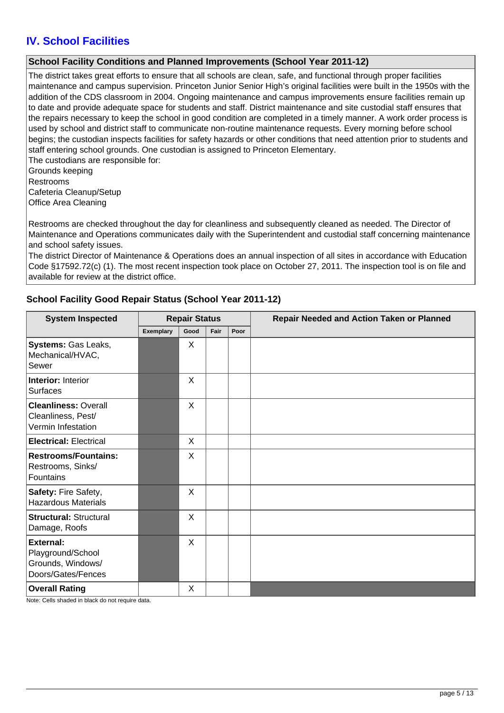# **IV. School Facilities**

### **School Facility Conditions and Planned Improvements (School Year 2011-12)**

The district takes great efforts to ensure that all schools are clean, safe, and functional through proper facilities maintenance and campus supervision. Princeton Junior Senior High's original facilities were built in the 1950s with the addition of the CDS classroom in 2004. Ongoing maintenance and campus improvements ensure facilities remain up to date and provide adequate space for students and staff. District maintenance and site custodial staff ensures that the repairs necessary to keep the school in good condition are completed in a timely manner. A work order process is used by school and district staff to communicate non-routine maintenance requests. Every morning before school begins; the custodian inspects facilities for safety hazards or other conditions that need attention prior to students and staff entering school grounds. One custodian is assigned to Princeton Elementary. The custodians are responsible for:

Grounds keeping Restrooms Cafeteria Cleanup/Setup Office Area Cleaning

Restrooms are checked throughout the day for cleanliness and subsequently cleaned as needed. The Director of Maintenance and Operations communicates daily with the Superintendent and custodial staff concerning maintenance and school safety issues.

The district Director of Maintenance & Operations does an annual inspection of all sites in accordance with Education Code §17592.72(c) (1). The most recent inspection took place on October 27, 2011. The inspection tool is on file and available for review at the district office.

### **School Facility Good Repair Status (School Year 2011-12)**

| <b>System Inspected</b>                                                          | <b>Repair Status</b> |         |      |      | Repair Needed and Action Taken or Planned |  |  |
|----------------------------------------------------------------------------------|----------------------|---------|------|------|-------------------------------------------|--|--|
|                                                                                  | <b>Exemplary</b>     | Good    | Fair | Poor |                                           |  |  |
| Systems: Gas Leaks,<br>Mechanical/HVAC,<br>Sewer                                 |                      | X       |      |      |                                           |  |  |
| <b>Interior: Interior</b><br>Surfaces                                            |                      | X       |      |      |                                           |  |  |
| <b>Cleanliness: Overall</b><br>Cleanliness, Pest/<br>Vermin Infestation          |                      | X       |      |      |                                           |  |  |
| <b>Electrical: Electrical</b>                                                    |                      | X       |      |      |                                           |  |  |
| <b>Restrooms/Fountains:</b><br>Restrooms, Sinks/<br>Fountains                    |                      | X       |      |      |                                           |  |  |
| Safety: Fire Safety,<br><b>Hazardous Materials</b>                               |                      | $\sf X$ |      |      |                                           |  |  |
| <b>Structural: Structural</b><br>Damage, Roofs                                   |                      | X       |      |      |                                           |  |  |
| <b>External:</b><br>Playground/School<br>Grounds, Windows/<br>Doors/Gates/Fences |                      | X       |      |      |                                           |  |  |
| <b>Overall Rating</b>                                                            |                      | X       |      |      |                                           |  |  |

Note: Cells shaded in black do not require data.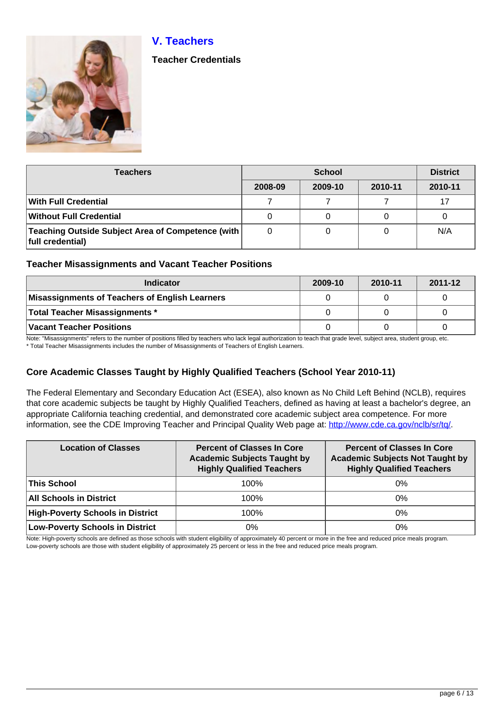# **V. Teachers**



**Teacher Credentials**

| <b>Teachers</b>                                                       |         | <b>District</b> |         |         |
|-----------------------------------------------------------------------|---------|-----------------|---------|---------|
|                                                                       | 2008-09 | 2009-10         | 2010-11 | 2010-11 |
| With Full Credential                                                  |         |                 |         | 17      |
| <b>Without Full Credential</b>                                        | 0       | O               |         |         |
| Teaching Outside Subject Area of Competence (with<br>full credential) | 0       | 0               |         | N/A     |

### **Teacher Misassignments and Vacant Teacher Positions**

| <b>Indicator</b>                               | 2009-10 | 2010-11 | 2011-12 |
|------------------------------------------------|---------|---------|---------|
| Misassignments of Teachers of English Learners |         |         |         |
| Total Teacher Misassignments *                 |         |         |         |
| Vacant Teacher Positions                       |         |         |         |

Note: "Misassignments" refers to the number of positions filled by teachers who lack legal authorization to teach that grade level, subject area, student group, etc.

\* Total Teacher Misassignments includes the number of Misassignments of Teachers of English Learners.

# **Core Academic Classes Taught by Highly Qualified Teachers (School Year 2010-11)**

The Federal Elementary and Secondary Education Act (ESEA), also known as No Child Left Behind (NCLB), requires that core academic subjects be taught by Highly Qualified Teachers, defined as having at least a bachelor's degree, an appropriate California teaching credential, and demonstrated core academic subject area competence. For more information, see the CDE Improving Teacher and Principal Quality Web page at: <http://www.cde.ca.gov/nclb/sr/tq/>

| <b>Location of Classes</b>              | <b>Percent of Classes In Core</b><br><b>Academic Subjects Taught by</b><br><b>Highly Qualified Teachers</b> | <b>Percent of Classes In Core</b><br><b>Academic Subjects Not Taught by</b><br><b>Highly Qualified Teachers</b> |  |
|-----------------------------------------|-------------------------------------------------------------------------------------------------------------|-----------------------------------------------------------------------------------------------------------------|--|
| <b>This School</b>                      | 100%                                                                                                        | $0\%$                                                                                                           |  |
| <b>All Schools in District</b>          | 100%                                                                                                        | 0%                                                                                                              |  |
| <b>High-Poverty Schools in District</b> | 100%                                                                                                        | $0\%$                                                                                                           |  |
| <b>Low-Poverty Schools in District</b>  | 0%                                                                                                          | 0%                                                                                                              |  |

Note: High-poverty schools are defined as those schools with student eligibility of approximately 40 percent or more in the free and reduced price meals program. Low-poverty schools are those with student eligibility of approximately 25 percent or less in the free and reduced price meals program.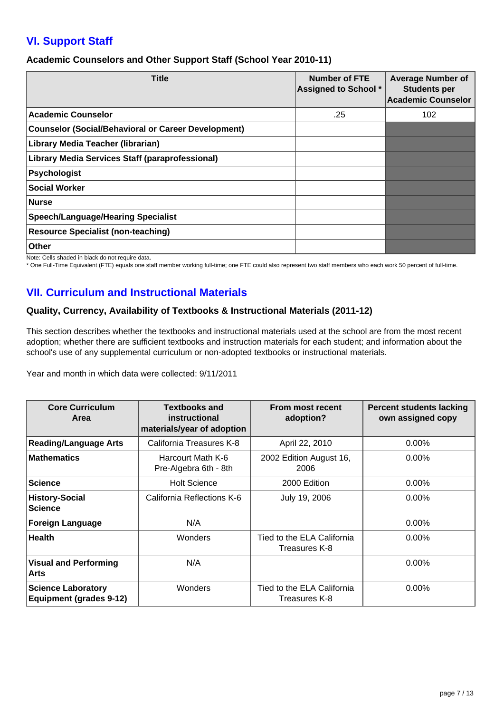# **VI. Support Staff**

### **Academic Counselors and Other Support Staff (School Year 2010-11)**

| <b>Title</b>                                           | <b>Number of FTE</b><br><b>Assigned to School *</b> | <b>Average Number of</b><br><b>Students per</b><br><b>Academic Counselor</b> |
|--------------------------------------------------------|-----------------------------------------------------|------------------------------------------------------------------------------|
| <b>Academic Counselor</b>                              | .25                                                 | 102                                                                          |
| Counselor (Social/Behavioral or Career Development)    |                                                     |                                                                              |
| Library Media Teacher (librarian)                      |                                                     |                                                                              |
| <b>Library Media Services Staff (paraprofessional)</b> |                                                     |                                                                              |
| Psychologist                                           |                                                     |                                                                              |
| <b>Social Worker</b>                                   |                                                     |                                                                              |
| Nurse                                                  |                                                     |                                                                              |
| Speech/Language/Hearing Specialist                     |                                                     |                                                                              |
| <b>Resource Specialist (non-teaching)</b>              |                                                     |                                                                              |
| <b>Other</b>                                           |                                                     |                                                                              |

Note: Cells shaded in black do not require data.

\* One Full-Time Equivalent (FTE) equals one staff member working full-time; one FTE could also represent two staff members who each work 50 percent of full-time.

# **VII. Curriculum and Instructional Materials**

# **Quality, Currency, Availability of Textbooks & Instructional Materials (2011-12)**

This section describes whether the textbooks and instructional materials used at the school are from the most recent adoption; whether there are sufficient textbooks and instruction materials for each student; and information about the school's use of any supplemental curriculum or non-adopted textbooks or instructional materials.

Year and month in which data were collected: 9/11/2011

| <b>Core Curriculum</b><br>Area                              | <b>Textbooks and</b><br>instructional<br>materials/year of adoption | From most recent<br>adoption?               | <b>Percent students lacking</b><br>own assigned copy |
|-------------------------------------------------------------|---------------------------------------------------------------------|---------------------------------------------|------------------------------------------------------|
| <b>Reading/Language Arts</b>                                | California Treasures K-8                                            | April 22, 2010                              | 0.00%                                                |
| <b>Mathematics</b>                                          | Harcourt Math K-6<br>Pre-Algebra 6th - 8th                          | 2002 Edition August 16,<br>2006             | $0.00\%$                                             |
| <b>Science</b>                                              | <b>Holt Science</b>                                                 | 2000 Edition                                | $0.00\%$                                             |
| <b>History-Social</b><br><b>Science</b>                     | California Reflections K-6                                          | July 19, 2006                               | $0.00\%$                                             |
| <b>Foreign Language</b>                                     | N/A                                                                 |                                             | $0.00\%$                                             |
| <b>Health</b>                                               | Wonders                                                             | Tied to the ELA California<br>Treasures K-8 | $0.00\%$                                             |
| <b>Visual and Performing</b><br><b>Arts</b>                 | N/A                                                                 |                                             | $0.00\%$                                             |
| <b>Science Laboratory</b><br><b>Equipment (grades 9-12)</b> | Wonders                                                             | Tied to the ELA California<br>Treasures K-8 | $0.00\%$                                             |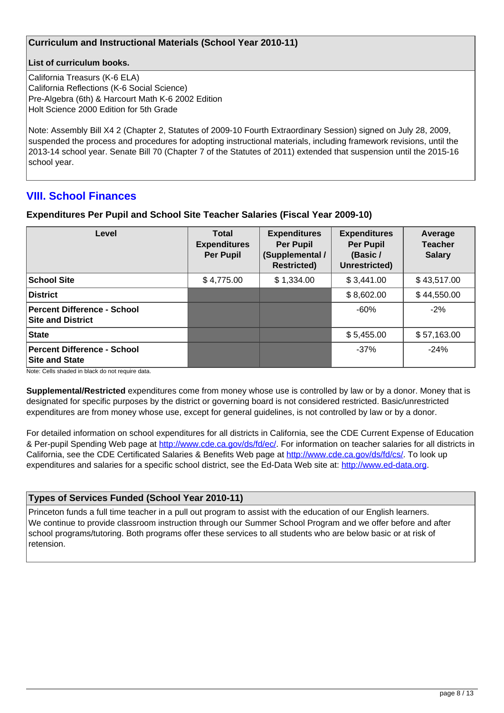### **Curriculum and Instructional Materials (School Year 2010-11)**

#### **List of curriculum books.**

California Treasurs (K-6 ELA) California Reflections (K-6 Social Science) Pre-Algebra (6th) & Harcourt Math K-6 2002 Edition Holt Science 2000 Edition for 5th Grade

Note: Assembly Bill X4 2 (Chapter 2, Statutes of 2009-10 Fourth Extraordinary Session) signed on July 28, 2009, suspended the process and procedures for adopting instructional materials, including framework revisions, until the 2013-14 school year. Senate Bill 70 (Chapter 7 of the Statutes of 2011) extended that suspension until the 2015-16 school year.

# **VIII. School Finances**

### **Expenditures Per Pupil and School Site Teacher Salaries (Fiscal Year 2009-10)**

| Level                                                          | <b>Total</b><br><b>Expenditures</b><br><b>Per Pupil</b> | <b>Expenditures</b><br><b>Per Pupil</b><br>(Supplemental /<br><b>Restricted)</b> | <b>Expenditures</b><br><b>Per Pupil</b><br>(Basic /<br>Unrestricted) | Average<br><b>Teacher</b><br><b>Salary</b> |
|----------------------------------------------------------------|---------------------------------------------------------|----------------------------------------------------------------------------------|----------------------------------------------------------------------|--------------------------------------------|
| <b>School Site</b>                                             | \$4,775.00                                              | \$1,334.00                                                                       | \$3,441.00                                                           | \$43,517.00                                |
| <b>District</b>                                                |                                                         |                                                                                  | \$8,602.00                                                           | \$44,550.00                                |
| <b>Percent Difference - School</b><br><b>Site and District</b> |                                                         |                                                                                  | $-60%$                                                               | $-2%$                                      |
| <b>State</b>                                                   |                                                         |                                                                                  | \$5,455.00                                                           | \$57,163.00                                |
| <b>Percent Difference - School</b><br><b>Site and State</b>    |                                                         |                                                                                  | $-37%$                                                               | $-24%$                                     |

Note: Cells shaded in black do not require data.

**Supplemental/Restricted** expenditures come from money whose use is controlled by law or by a donor. Money that is designated for specific purposes by the district or governing board is not considered restricted. Basic/unrestricted expenditures are from money whose use, except for general guidelines, is not controlled by law or by a donor.

For detailed information on school expenditures for all districts in California, see the CDE Current Expense of Education & Per-pupil Spending Web page at <http://www.cde.ca.gov/ds/fd/ec/>. For information on teacher salaries for all districts in California, see the CDE Certificated Salaries & Benefits Web page at <http://www.cde.ca.gov/ds/fd/cs/>. To look up expenditures and salaries for a specific school district, see the Ed-Data Web site at: <http://www.ed-data.org>.

### **Types of Services Funded (School Year 2010-11)**

Princeton funds a full time teacher in a pull out program to assist with the education of our English learners. We continue to provide classroom instruction through our Summer School Program and we offer before and after school programs/tutoring. Both programs offer these services to all students who are below basic or at risk of retension.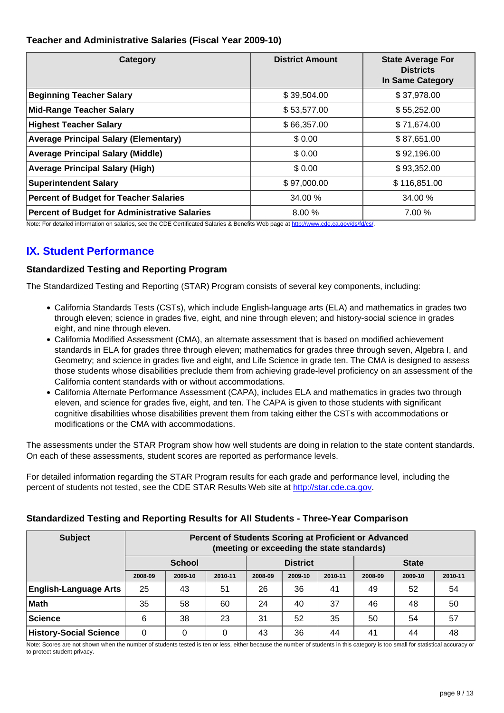## **Teacher and Administrative Salaries (Fiscal Year 2009-10)**

| Category                                             | <b>District Amount</b> | <b>State Average For</b><br><b>Districts</b><br><b>In Same Category</b> |
|------------------------------------------------------|------------------------|-------------------------------------------------------------------------|
| <b>Beginning Teacher Salary</b>                      | \$39,504.00            | \$37,978.00                                                             |
| <b>Mid-Range Teacher Salary</b>                      | \$53,577.00            | \$55,252.00                                                             |
| <b>Highest Teacher Salary</b>                        | \$66,357.00            | \$71,674.00                                                             |
| <b>Average Principal Salary (Elementary)</b>         | \$0.00                 | \$87,651.00                                                             |
| <b>Average Principal Salary (Middle)</b>             | \$0.00                 | \$92,196.00                                                             |
| <b>Average Principal Salary (High)</b>               | \$0.00                 | \$93,352.00                                                             |
| <b>Superintendent Salary</b>                         | \$97,000.00            | \$116,851.00                                                            |
| <b>Percent of Budget for Teacher Salaries</b>        | 34.00 %                | 34.00 %                                                                 |
| <b>Percent of Budget for Administrative Salaries</b> | 8.00 %                 | 7.00 %                                                                  |

Note: For detailed information on salaries, see the CDE Certificated Salaries & Benefits Web page at <http://www.cde.ca.gov/ds/fd/cs/>.

# **IX. Student Performance**

### **Standardized Testing and Reporting Program**

The Standardized Testing and Reporting (STAR) Program consists of several key components, including:

- California Standards Tests (CSTs), which include English-language arts (ELA) and mathematics in grades two through eleven; science in grades five, eight, and nine through eleven; and history-social science in grades eight, and nine through eleven.
- California Modified Assessment (CMA), an alternate assessment that is based on modified achievement standards in ELA for grades three through eleven; mathematics for grades three through seven, Algebra I, and Geometry; and science in grades five and eight, and Life Science in grade ten. The CMA is designed to assess those students whose disabilities preclude them from achieving grade-level proficiency on an assessment of the California content standards with or without accommodations.
- California Alternate Performance Assessment (CAPA), includes ELA and mathematics in grades two through eleven, and science for grades five, eight, and ten. The CAPA is given to those students with significant cognitive disabilities whose disabilities prevent them from taking either the CSTs with accommodations or modifications or the CMA with accommodations.

The assessments under the STAR Program show how well students are doing in relation to the state content standards. On each of these assessments, student scores are reported as performance levels.

For detailed information regarding the STAR Program results for each grade and performance level, including the percent of students not tested, see the CDE STAR Results Web site at<http://star.cde.ca.gov>.

### **Standardized Testing and Reporting Results for All Students - Three-Year Comparison**

| <b>Subject</b>                | Percent of Students Scoring at Proficient or Advanced<br>(meeting or exceeding the state standards) |                                                  |         |         |         |         |         |         |         |
|-------------------------------|-----------------------------------------------------------------------------------------------------|--------------------------------------------------|---------|---------|---------|---------|---------|---------|---------|
|                               |                                                                                                     | <b>District</b><br><b>School</b><br><b>State</b> |         |         |         |         |         |         |         |
|                               | 2008-09                                                                                             | 2009-10                                          | 2010-11 | 2008-09 | 2009-10 | 2010-11 | 2008-09 | 2009-10 | 2010-11 |
| <b>English-Language Arts</b>  | 25                                                                                                  | 43                                               | 51      | 26      | 36      | 41      | 49      | 52      | 54      |
| Math                          | 35                                                                                                  | 58                                               | 60      | 24      | 40      | 37      | 46      | 48      | 50      |
| Science                       | 6                                                                                                   | 38                                               | 23      | 31      | 52      | 35      | 50      | 54      | 57      |
| <b>History-Social Science</b> | 0                                                                                                   | 0                                                | 0       | 43      | 36      | 44      | 41      | 44      | 48      |

Note: Scores are not shown when the number of students tested is ten or less, either because the number of students in this category is too small for statistical accuracy or to protect student privacy.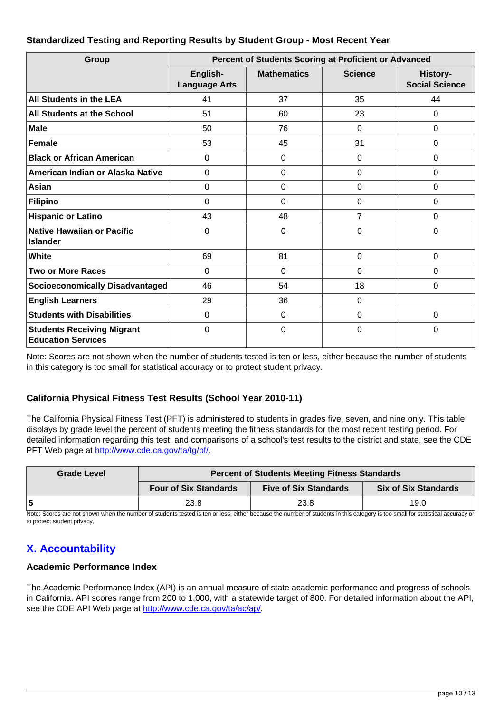### **Standardized Testing and Reporting Results by Student Group - Most Recent Year**

| Group                                                          | <b>Percent of Students Scoring at Proficient or Advanced</b> |                    |                |                                   |  |  |
|----------------------------------------------------------------|--------------------------------------------------------------|--------------------|----------------|-----------------------------------|--|--|
|                                                                | English-<br><b>Language Arts</b>                             | <b>Mathematics</b> | <b>Science</b> | History-<br><b>Social Science</b> |  |  |
| <b>All Students in the LEA</b>                                 | 41                                                           | 37                 | 35             | 44                                |  |  |
| All Students at the School                                     | 51                                                           | 60                 | 23             | 0                                 |  |  |
| <b>Male</b>                                                    | 50                                                           | 76                 | $\Omega$       | 0                                 |  |  |
| Female                                                         | 53                                                           | 45                 | 31             | 0                                 |  |  |
| <b>Black or African American</b>                               | 0                                                            | $\mathbf 0$        | $\mathbf 0$    | 0                                 |  |  |
| American Indian or Alaska Native                               | 0                                                            | $\Omega$           | 0              | 0                                 |  |  |
| Asian                                                          | 0                                                            | $\mathbf 0$        | $\mathbf 0$    | 0                                 |  |  |
| <b>Filipino</b>                                                | 0                                                            | $\mathbf 0$        | $\mathbf 0$    | 0                                 |  |  |
| <b>Hispanic or Latino</b>                                      | 43                                                           | 48                 | $\overline{7}$ | 0                                 |  |  |
| <b>Native Hawaiian or Pacific</b><br><b>Islander</b>           | 0                                                            | $\Omega$           | 0              | 0                                 |  |  |
| White                                                          | 69                                                           | 81                 | $\Omega$       | 0                                 |  |  |
| <b>Two or More Races</b>                                       | 0                                                            | $\mathbf 0$        | $\mathbf 0$    | 0                                 |  |  |
| <b>Socioeconomically Disadvantaged</b>                         | 46                                                           | 54                 | 18             | 0                                 |  |  |
| <b>English Learners</b>                                        | 29                                                           | 36                 | $\Omega$       |                                   |  |  |
| <b>Students with Disabilities</b>                              | 0                                                            | $\mathbf 0$        | $\mathbf 0$    | 0                                 |  |  |
| <b>Students Receiving Migrant</b><br><b>Education Services</b> | 0                                                            | $\overline{0}$     | 0              | 0                                 |  |  |

Note: Scores are not shown when the number of students tested is ten or less, either because the number of students in this category is too small for statistical accuracy or to protect student privacy.

# **California Physical Fitness Test Results (School Year 2010-11)**

The California Physical Fitness Test (PFT) is administered to students in grades five, seven, and nine only. This table displays by grade level the percent of students meeting the fitness standards for the most recent testing period. For detailed information regarding this test, and comparisons of a school's test results to the district and state, see the CDE PFT Web page at<http://www.cde.ca.gov/ta/tg/pf/>.

| <b>Grade Level</b> | <b>Percent of Students Meeting Fitness Standards</b>                                        |      |      |  |  |  |
|--------------------|---------------------------------------------------------------------------------------------|------|------|--|--|--|
|                    | <b>Six of Six Standards</b><br><b>Four of Six Standards</b><br><b>Five of Six Standards</b> |      |      |  |  |  |
|                    | 23.8                                                                                        | 23.8 | 19.0 |  |  |  |

Note: Scores are not shown when the number of students tested is ten or less, either because the number of students in this category is too small for statistical accuracy or to protect student privacy.

# **X. Accountability**

# **Academic Performance Index**

The Academic Performance Index (API) is an annual measure of state academic performance and progress of schools in California. API scores range from 200 to 1,000, with a statewide target of 800. For detailed information about the API, see the CDE API Web page at [http://www.cde.ca.gov/ta/ac/ap/.](http://www.cde.ca.gov/ta/ac/ap/)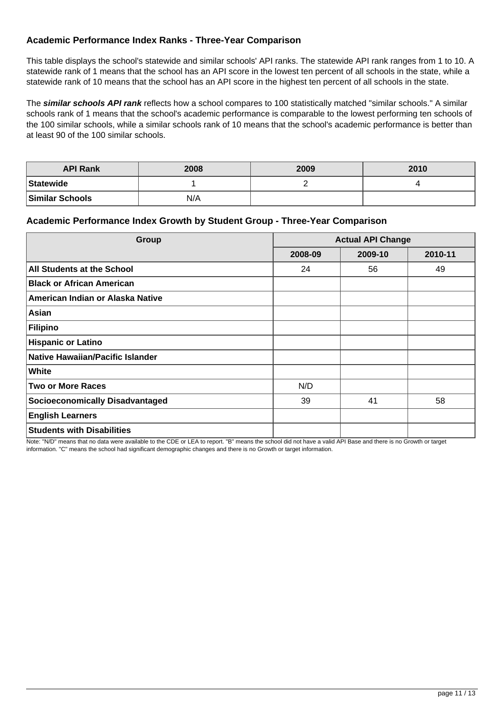## **Academic Performance Index Ranks - Three-Year Comparison**

This table displays the school's statewide and similar schools' API ranks. The statewide API rank ranges from 1 to 10. A statewide rank of 1 means that the school has an API score in the lowest ten percent of all schools in the state, while a statewide rank of 10 means that the school has an API score in the highest ten percent of all schools in the state.

The **similar schools API rank** reflects how a school compares to 100 statistically matched "similar schools." A similar schools rank of 1 means that the school's academic performance is comparable to the lowest performing ten schools of the 100 similar schools, while a similar schools rank of 10 means that the school's academic performance is better than at least 90 of the 100 similar schools.

| <b>API Rank</b>        | 2008 | 2009 | 2010 |
|------------------------|------|------|------|
| Statewide              |      |      |      |
| <b>Similar Schools</b> | N/A  |      |      |

#### **Academic Performance Index Growth by Student Group - Three-Year Comparison**

| Group                                   | <b>Actual API Change</b> |         |         |  |
|-----------------------------------------|--------------------------|---------|---------|--|
|                                         | 2008-09                  | 2009-10 | 2010-11 |  |
| All Students at the School              | 24                       | 56      | 49      |  |
| <b>Black or African American</b>        |                          |         |         |  |
| American Indian or Alaska Native        |                          |         |         |  |
| Asian                                   |                          |         |         |  |
| <b>Filipino</b>                         |                          |         |         |  |
| <b>Hispanic or Latino</b>               |                          |         |         |  |
| <b>Native Hawaiian/Pacific Islander</b> |                          |         |         |  |
| White                                   |                          |         |         |  |
| <b>Two or More Races</b>                | N/D                      |         |         |  |
| <b>Socioeconomically Disadvantaged</b>  | 39                       | 41      | 58      |  |
| <b>English Learners</b>                 |                          |         |         |  |
| <b>Students with Disabilities</b>       |                          |         |         |  |

Note: "N/D" means that no data were available to the CDE or LEA to report. "B" means the school did not have a valid API Base and there is no Growth or target information. "C" means the school had significant demographic changes and there is no Growth or target information.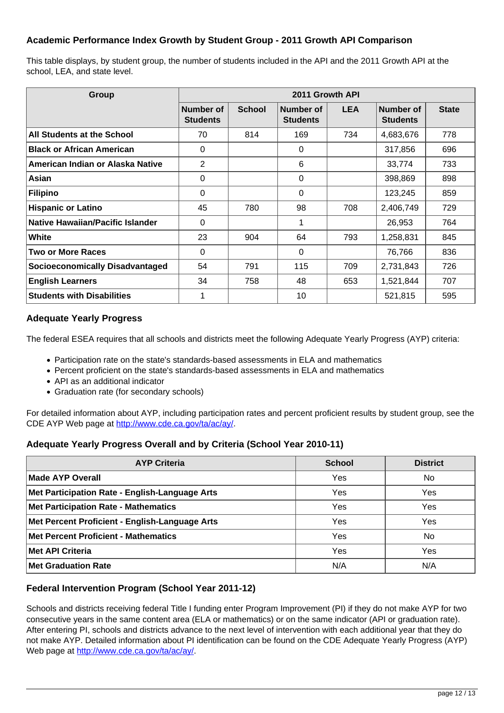# **Academic Performance Index Growth by Student Group - 2011 Growth API Comparison**

This table displays, by student group, the number of students included in the API and the 2011 Growth API at the school, LEA, and state level.

| Group                                  | 2011 Growth API              |               |                              |            |                              |              |  |
|----------------------------------------|------------------------------|---------------|------------------------------|------------|------------------------------|--------------|--|
|                                        | Number of<br><b>Students</b> | <b>School</b> | Number of<br><b>Students</b> | <b>LEA</b> | Number of<br><b>Students</b> | <b>State</b> |  |
| All Students at the School             | 70                           | 814           | 169                          | 734        | 4,683,676                    | 778          |  |
| <b>Black or African American</b>       | $\Omega$                     |               | 0                            |            | 317,856                      | 696          |  |
| American Indian or Alaska Native       | 2                            |               | 6                            |            | 33,774                       | 733          |  |
| Asian                                  | $\Omega$                     |               | $\Omega$                     |            | 398,869                      | 898          |  |
| Filipino                               | $\Omega$                     |               | 0                            |            | 123,245                      | 859          |  |
| <b>Hispanic or Latino</b>              | 45                           | 780           | 98                           | 708        | 2,406,749                    | 729          |  |
| Native Hawaiian/Pacific Islander       | $\Omega$                     |               |                              |            | 26,953                       | 764          |  |
| White                                  | 23                           | 904           | 64                           | 793        | 1,258,831                    | 845          |  |
| <b>Two or More Races</b>               | $\Omega$                     |               | 0                            |            | 76,766                       | 836          |  |
| <b>Socioeconomically Disadvantaged</b> | 54                           | 791           | 115                          | 709        | 2,731,843                    | 726          |  |
| <b>English Learners</b>                | 34                           | 758           | 48                           | 653        | 1,521,844                    | 707          |  |
| <b>Students with Disabilities</b>      |                              |               | 10                           |            | 521,815                      | 595          |  |

#### **Adequate Yearly Progress**

The federal ESEA requires that all schools and districts meet the following Adequate Yearly Progress (AYP) criteria:

- Participation rate on the state's standards-based assessments in ELA and mathematics
- Percent proficient on the state's standards-based assessments in ELA and mathematics
- API as an additional indicator
- Graduation rate (for secondary schools)

For detailed information about AYP, including participation rates and percent proficient results by student group, see the CDE AYP Web page at [http://www.cde.ca.gov/ta/ac/ay/.](http://www.cde.ca.gov/ta/ac/ay/)

### **Adequate Yearly Progress Overall and by Criteria (School Year 2010-11)**

| <b>AYP Criteria</b>                            | <b>School</b> | <b>District</b> |
|------------------------------------------------|---------------|-----------------|
| Made AYP Overall                               | Yes           | <b>No</b>       |
| Met Participation Rate - English-Language Arts | Yes           | Yes             |
| <b>Met Participation Rate - Mathematics</b>    | Yes           | Yes             |
| Met Percent Proficient - English-Language Arts | Yes           | Yes             |
| <b>Met Percent Proficient - Mathematics</b>    | Yes           | No              |
| <b>Met API Criteria</b>                        | Yes           | Yes             |
| <b>Met Graduation Rate</b>                     | N/A           | N/A             |

### **Federal Intervention Program (School Year 2011-12)**

Schools and districts receiving federal Title I funding enter Program Improvement (PI) if they do not make AYP for two consecutive years in the same content area (ELA or mathematics) or on the same indicator (API or graduation rate). After entering PI, schools and districts advance to the next level of intervention with each additional year that they do not make AYP. Detailed information about PI identification can be found on the CDE Adequate Yearly Progress (AYP) Web page at <http://www.cde.ca.gov/ta/ac/ay/>.